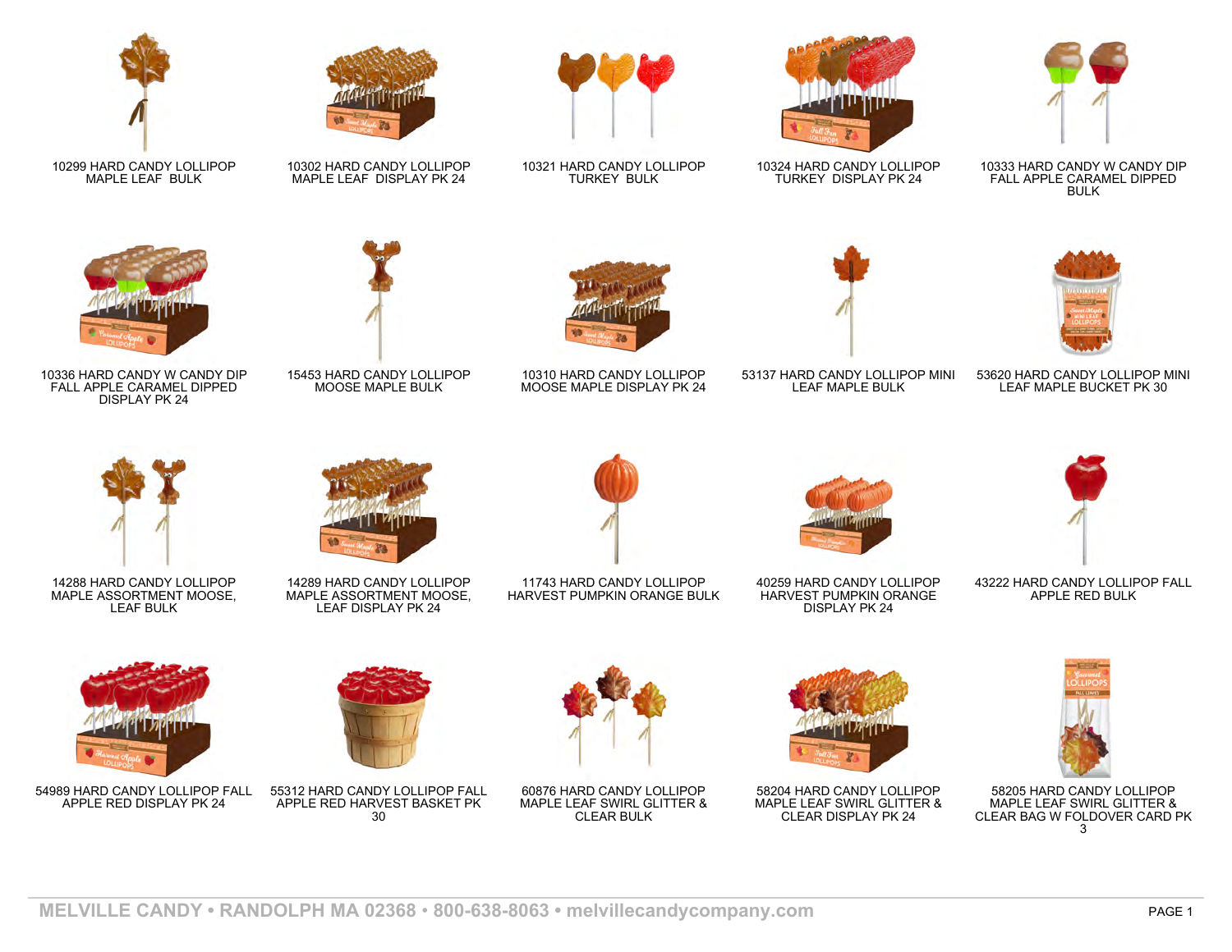

10299 HARD CANDY LOLLIPOP MAPLE LEAF BULK



10336 HARD CANDY W CANDY DIP FALL APPLE CARAMEL DIPPED DISPLAY PK 24



10302 HARD CANDY LOLLIPOP MAPLE LEAF DISPLAY PK 24







15453 HARD CANDY LOLLIPOP MOOSE MAPLE BULK



10321 HARD CANDY LOLLIPOP TURKEY BULK

10310 HARD CANDY LOLLIPOP MOOSE MAPLE DISPLAY PK 24



10324 HARD CANDY LOLLIPOP TURKEY DISPLAY PK 24





53137 HARD CANDY LOLLIPOP MINI LEAF MAPLE BULK



10333 HARD CANDY W CANDY DIP FALL APPLE CARAMEL DIPPED BULK



14288 HARD CANDY LOLLIPOP MAPLE ASSORTMENT MOOSE, LEAF BULK



14289 HARD CANDY LOLLIPOP MAPLE ASSORTMENT MOOSE, LEAF DISPLAY PK 24



11743 HARD CANDY LOLLIPOP HARVEST PUMPKIN ORANGE BULK



40259 HARD CANDY LOLLIPOP HARVEST PUMPKIN ORANGE DISPLAY PK 24



43222 HARD CANDY LOLLIPOP FALL APPLE RED BULK



54989 HARD CANDY LOLLIPOP FALL APPLE RED DISPLAY PK 24



55312 HARD CANDY LOLLIPOP FALL APPLE RED HARVEST BASKET PK  $30^{-1}$ 



60876 HARD CANDY LOLLIPOP MAPLE LEAF SWIRL GLITTER & CLEAR BULK



58204 HARD CANDY LOLLIPOP MAPLE LEAF SWIRL GLITTER & CLEAR DISPLAY PK 24



58205 HARD CANDY LOLLIPOP MAPLE LEAF SWIRL GLITTER & CLEAR BAG W FOLDOVER CARD PK 3

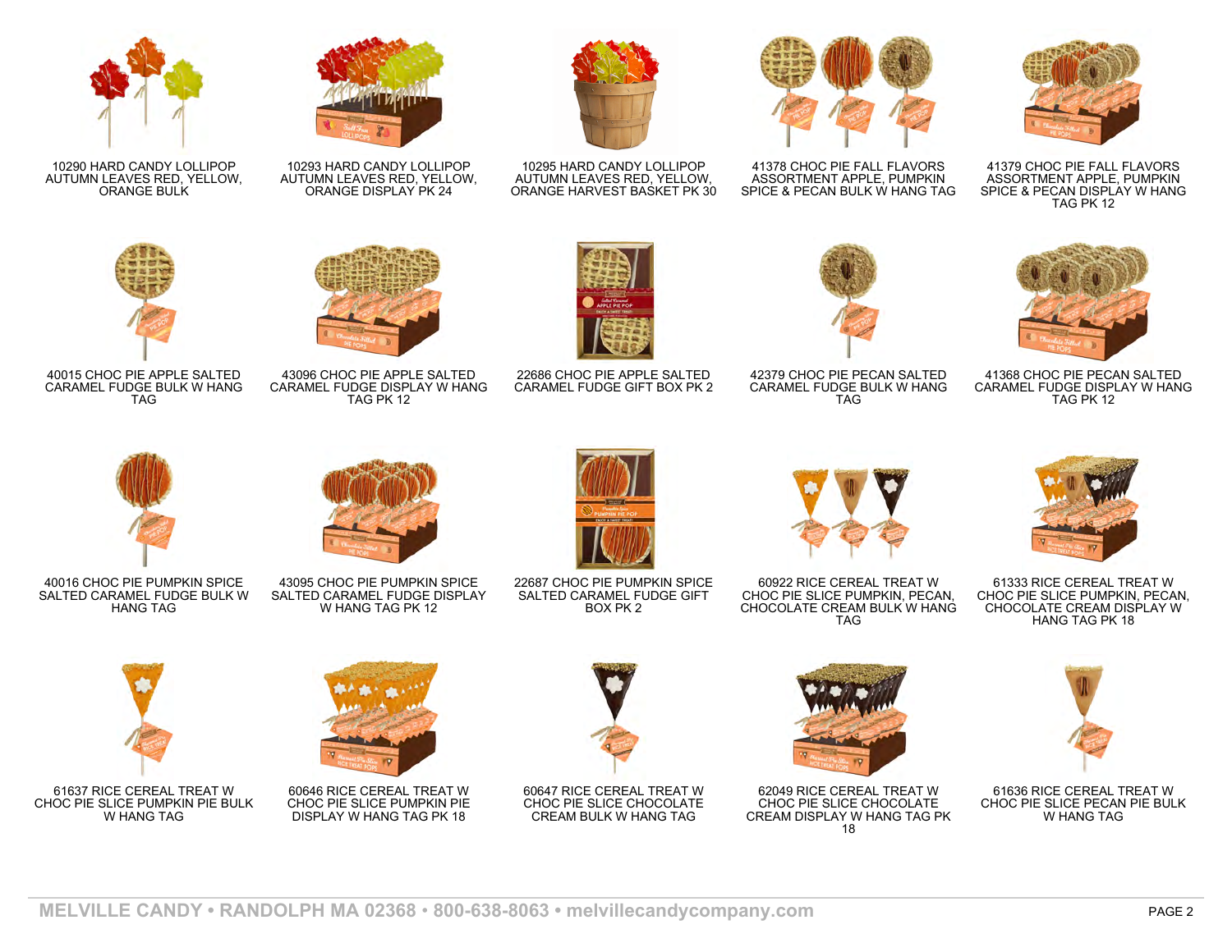

10290 HARD CANDY LOLLIPOP AUTUMN LEAVES RED, YELLOW, ORANGE BULK



10293 HARD CANDY LOLLIPOP AUTUMN LEAVES RED, YELLOW, ORANGE DISPLAY PK 24





10295 HARD CANDY LOLLIPOP AUTUMN LEAVES RED, YELLOW, ORANGE HARVEST BASKET PK 30



41378 CHOC PIE FALL FLAVORS ASSORTMENT APPLE, PUMPKIN SPICE & PECAN BULK W HANG TAG



41379 CHOC PIE FALL FLAVORS ASSORTMENT APPLE, PUMPKIN SPICE & PECAN DISPLAY W HANG TAG PK 12



42379 CHOC PIE PECAN SALTED CARAMEL FUDGE BULK W HANG TAG



41368 CHOC PIE PECAN SALTED CARAMEL FUDGE DISPLAY W HANG TAG PK 12



40015 CHOC PIE APPLE SALTED CARAMEL FUDGE BULK W HANG TAG

40016 CHOC PIE PUMPKIN SPICE SALTED CARAMEL FUDGE BULK W HANG TAG



43096 CHOC PIE APPLE SALTED CARAMEL FUDGE DISPLAY W HANG TAG PK 12

43095 CHOC PIE PUMPKIN SPICE SALTED CARAMEL FUDGE DISPLAY W HANG TAG PK 12



22686 CHOC PIE APPLE SALTED CARAMEL FUDGE GIFT BOX PK 2

22687 CHOC PIE PUMPKIN SPICE SALTED CARAMEL FUDGE GIFT BOX PK 2



60922 RICE CEREAL TREAT W CHOC PIE SLICE PUMPKIN, PECAN, CHOCOLATE CREAM BULK W HANG TAG



61333 RICE CEREAL TREAT W CHOC PIE SLICE PUMPKIN, PECAN, CHOCOLATE CREAM DISPLAY W HANG TAG PK 18



61637 RICE CEREAL TREAT W CHOC PIE SLICE PUMPKIN PIE BULK W HANG TAG



60646 RICE CEREAL TREAT W CHOC PIE SLICE PUMPKIN PIE DISPLAY W HANG TAG PK 18



60647 RICE CEREAL TREAT W CHOC PIE SLICE CHOCOLATE CREAM BULK W HANG TAG



62049 RICE CEREAL TREAT W CHOC PIE SLICE CHOCOLATE CREAM DISPLAY W HANG TAG PK 18



61636 RICE CEREAL TREAT W CHOC PIE SLICE PECAN PIE BULK W HANG TAG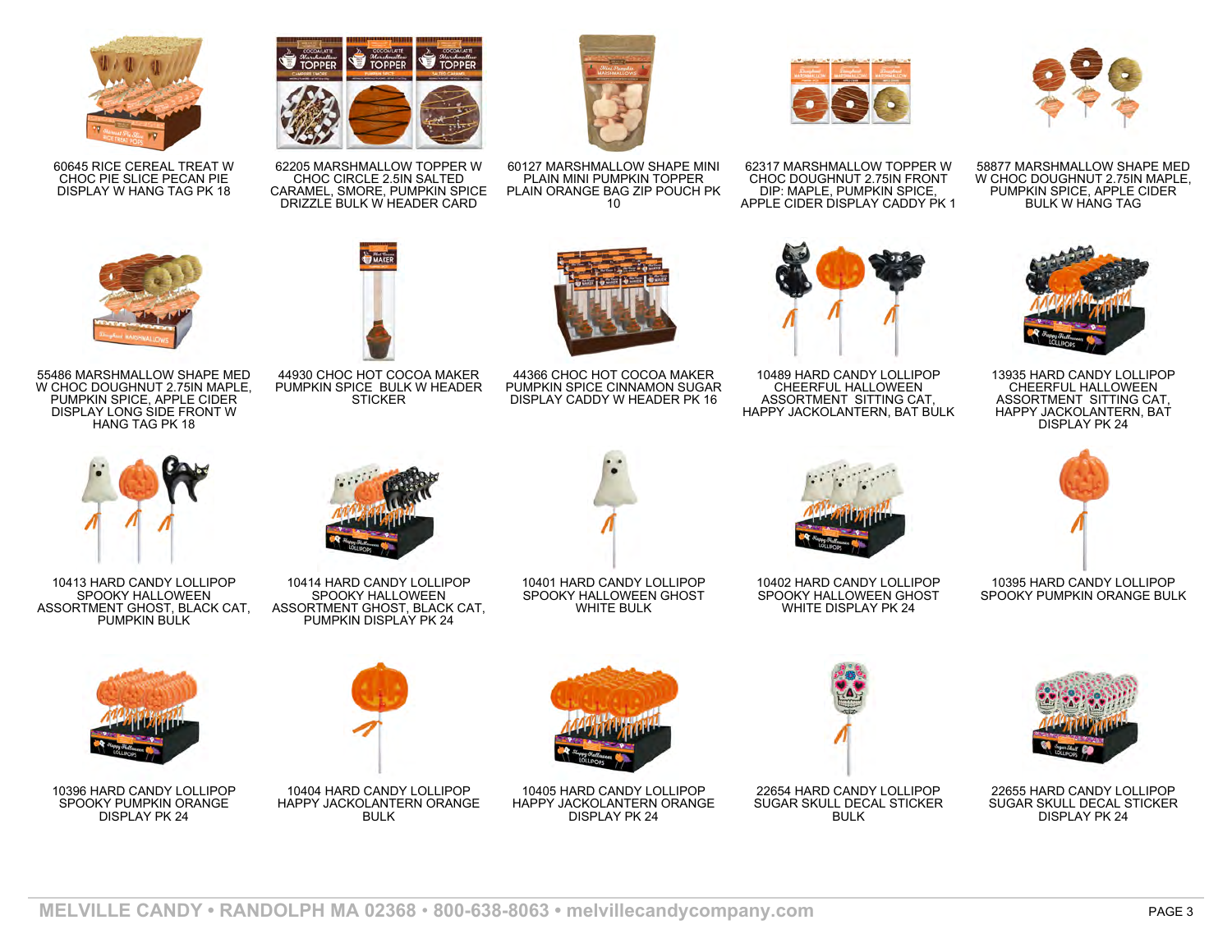

60645 RICE CEREAL TREAT W CHOC PIE SLICE PECAN PIE DISPLAY W HANG TAG PK 18



62205 MARSHMALLOW TOPPER W CHOC CIRCLE 2.5IN SALTED CARAMEL, SMORE, PUMPKIN SPICE DRIZZLE BULK W HEADER CARD

MAKER



60127 MARSHMALLOW SHAPE MINI PLAIN MINI PUMPKIN TOPPER PLAIN ORANGE BAG ZIP POUCH PK 10



62317 MARSHMALLOW TOPPER W CHOC DOUGHNUT 2.75IN FRONT DIP: MAPLE, PUMPKIN SPICE, APPLE CIDER DISPLAY CADDY PK 1



58877 MARSHMALLOW SHAPE MED W CHOC DOUGHNUT 2.75IN MAPLE, PUMPKIN SPICE, APPLE CIDER BULK W HANG TAG



55486 MARSHMALLOW SHAPE MED W CHOC DOUGHNUT 2.75IN MAPLE, PUMPKIN SPICE, APPLE CIDER DISPLAY LONG SIDE FRONT W HANG TAG PK 18



44930 CHOC HOT COCOA MAKER PUMPKIN SPICE BULK W HEADER **STICKER** 



44366 CHOC HOT COCOA MAKER PUMPKIN SPICE CINNAMON SUGAR DISPLAY CADDY W HEADER PK 16



10489 HARD CANDY LOLLIPOP CHEERFUL HALLOWEEN ASSORTMENT SITTING CAT, HAPPY JACKOLANTERN, BAT BULK



13935 HARD CANDY LOLLIPOP CHEERFUL HALLOWEEN ASSORTMENT SITTING CAT, HAPPY JACKOLANTERN, BAT DISPLAY PK 24



10395 HARD CANDY LOLLIPOP SPOOKY PUMPKIN ORANGE BULK





22655 HARD CANDY LOLLIPOP SUGAR SKULL DECAL STICKER DISPLAY PK 24



10413 HARD CANDY LOLLIPOP SPOOKY HALLOWEEN ASSORTMENT GHOST, BLACK CAT, PUMPKIN BULK



10396 HARD CANDY LOLLIPOP SPOOKY PUMPKIN ORANGE DISPLAY PK 24



SPOOKY HALLOWEEN ASSORTMENT GHOST, BLACK CAT, PUMPKIN DISPLAY PK 24



10404 HARD CANDY LOLLIPOP HAPPY JACKOLANTERN ORANGE BULK<sup>T</sup>

10401 HARD CANDY LOLLIPOP SPOOKY HALLOWEEN GHOST WHITE BULK

10405 HARD CANDY LOLLIPOP HAPPY JACKOLANTERN ORANGE DISPLAY PK 24



10402 HARD CANDY LOLLIPOP SPOOKY HALLOWEEN GHOST WHITE DISPLAY PK 24

22654 HARD CANDY LOLLIPOP SUGAR SKULL DECAL STICKER BULK<sup>T</sup>

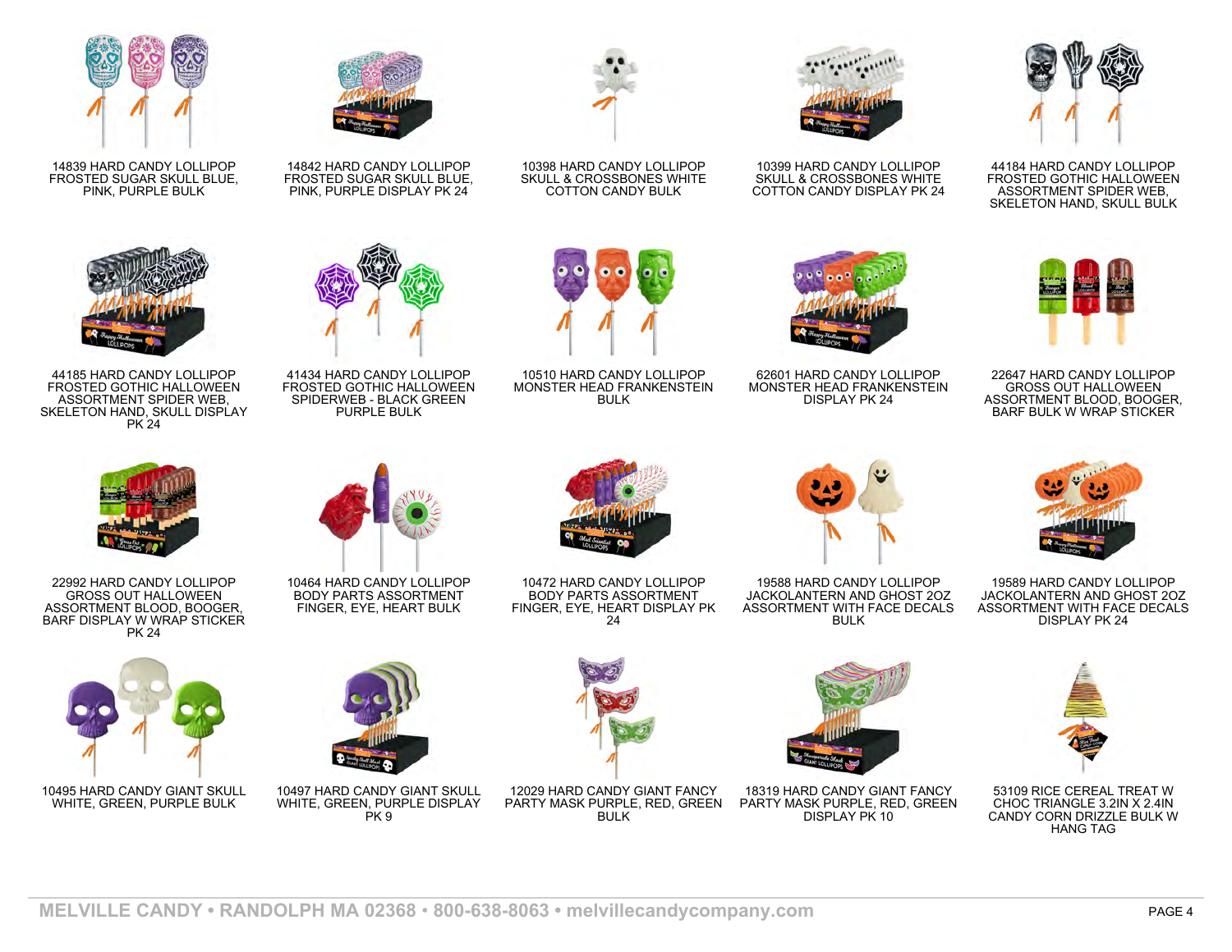

14839 HARD CANDY LOLLIPOP FROSTED SUGAR SKULL BLUE, PINK, PURPLE BULK



44185 HARD CANDY LOLLIPOP FROSTED GOTHIC HALLOWEEN ASSORTMENT SPIDER WEB, SKELETON HAND, SKULL DISPLAY PK 24



22992 HARD CANDY LOLLIPOP GROSS OUT HALLOWEEN ASSORTMENT BLOOD, BOOGER, BARF DISPLAY W WRAP STICKER PK 24



10495 HARD CANDY GIANT SKULL WHITE, GREEN, PURPLE BULK



14842 HARD CANDY LOLLIPOP FROSTED SUGAR SKULL BLUE, PINK, PURPLE DISPLAY PK 24



41434 HARD CANDY LOLLIPOP FROSTED GOTHIC HALLOWEEN SPIDERWEB - BLACK GREEN PURPLE BULK



10398 HARD CANDY LOLLIPOP SKULL & CROSSBONES WHITE COTTON CANDY BULK



10510 HARD CANDY LOLLIPOP MONSTER HEAD FRANKENSTEIN BULK



10399 HARD CANDY LOLLIPOP SKULL & CROSSBONES WHITE COTTON CANDY DISPLAY PK 24



44184 HARD CANDY LOLLIPOP FROSTED GOTHIC HALLOWEEN ASSORTMENT SPIDER WEB, SKELETON HAND, SKULL BULK



22647 HARD CANDY LOLLIPOP GROSS OUT HALLOWEEN ASSORTMENT BLOOD, BOOGER, BARF BULK W WRAP STICKER



10464 HARD CANDY LOLLIPOP BODY PARTS ASSORTMENT FINGER, EYE, HEART BULK

10497 HARD CANDY GIANT SKULL WHITE, GREEN, PURPLE DISPLAY  $PK9$ 



10472 HARD CANDY LOLLIPOP BODY PARTS ASSORTMENT FINGER, EYE, HEART DISPLAY PK 24



62601 HARD CANDY LOLLIPOP MONSTER HEAD FRANKENSTEIN DISPLAY PK 24

19588 HARD CANDY LOLLIPOP JACKOLANTERN AND GHOST 2OZ ASSORTMENT WITH FACE DECALS BULK



19589 HARD CANDY LOLLIPOP JACKOLANTERN AND GHOST 2OZ ASSORTMENT WITH FACE DECALS DISPLAY PK 24



53109 RICE CEREAL TREAT W CHOC TRIANGLE 3.2IN X 2.4IN CANDY CORN DRIZZLE BULK W HANG TAG



12029 HARD CANDY GIANT FANCY PARTY MASK PURPLE, RED, GREEN **BULK** 



18319 HARD CANDY GIANT FANCY PARTY MASK PURPLE, RED, GREEN DISPLAY PK 10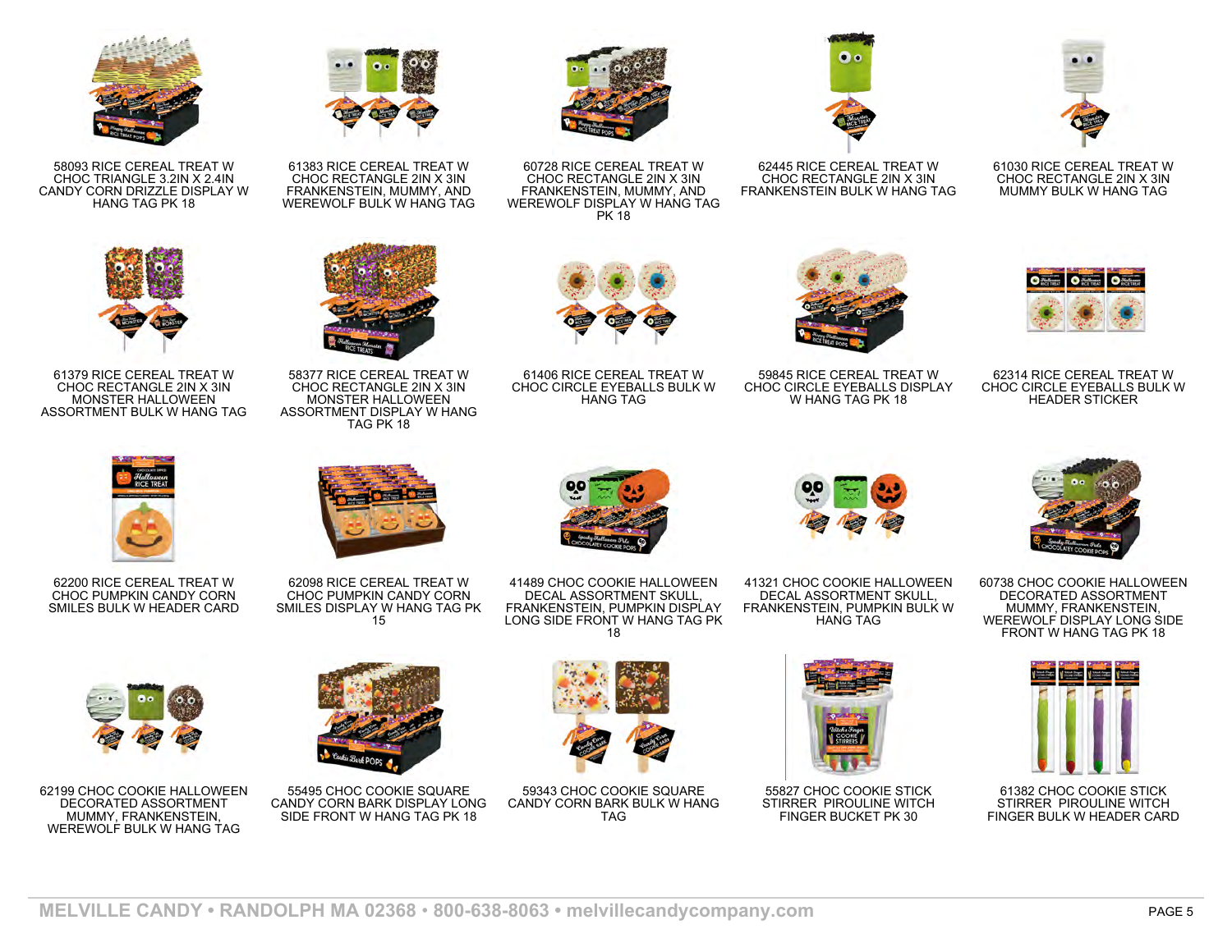

58093 RICE CEREAL TREAT W CHOC TRIANGLE 3.2IN X 2.4IN CANDY CORN DRIZZLE DISPLAY W HANG TAG PK 18



61379 RICE CEREAL TREAT W CHOC RECTANGLE 2IN X 3IN MONSTER HALLOWEEN ASSORTMENT BULK W HANG TAG



62200 RICE CEREAL TREAT W CHOC PUMPKIN CANDY CORN SMILES BULK W HEADER CARD



62199 CHOC COOKIE HALLOWEEN DECORATED ASSORTMENT MUMMY, FRANKENSTEIN, WEREWOLF BULK W HANG TAG



61383 RICE CEREAL TREAT W CHOC RECTANGLE 2IN X 3IN FRANKENSTEIN, MUMMY, AND WEREWOLF BULK W HANG TAG

58377 RICE CEREAL TREAT W CHOC RECTANGLE 2IN X 3IN MONSTER HALLOWEEN ASSORTMENT DISPLAY W HANG TAG PK 18

62098 RICE CEREAL TREAT W CHOC PUMPKIN CANDY CORN SMILES DISPLAY W HANG TAG PK 15

55495 CHOC COOKIE SQUARE CANDY CORN BARK DISPLAY LONG SIDE FRONT W HANG TAG PK 18



60728 RICE CEREAL TREAT W CHOC RECTANGLE 2IN X 3IN FRANKENSTEIN, MUMMY, AND WEREWOLF DISPLAY W HANG TAG PK 18



62445 RICE CEREAL TREAT W CHOC RECTANGLE 2IN X 3IN FRANKENSTEIN BULK W HANG TAG



61030 RICE CEREAL TREAT W CHOC RECTANGLE 2IN X 3IN MUMMY BULK W HANG TAG



59845 RICE CEREAL TREAT W CHOC CIRCLE EYEBALLS DISPLAY W HANG TAG PK 18



62314 RICE CEREAL TREAT W CHOC CIRCLE EYEBALLS BULK W HEADER STICKER





41321 CHOC COOKIE HALLOWEEN DECAL ASSORTMENT SKULL FRANKENSTEIN, PUMPKIN BULK W HANG TAG



55827 CHOC COOKIE STICK STIRRER PIROULINE WITCH FINGER BUCKET PK 30



60738 CHOC COOKIE HALLOWEEN DECORATED ASSORTMENT MUMMY, FRANKENSTEIN, WEREWOLF DISPLAY LONG SIDE FRONT W HANG TAG PK 18



61382 CHOC COOKIE STICK STIRRER PIROULINE WITCH FINGER BULK W HEADER CARD



61406 RICE CEREAL TREAT W CHOC CIRCLE EYEBALLS BULK W HANG TAG

41489 CHOC COOKIE HALLOWEEN DECAL ASSORTMENT SKULL, FRANKENSTEIN, PUMPKIN DISPLAY LONG SIDE FRONT W HANG TAG PK 18



59343 CHOC COOKIE SQUARE CANDY CORN BARK BULK W HANG TAG